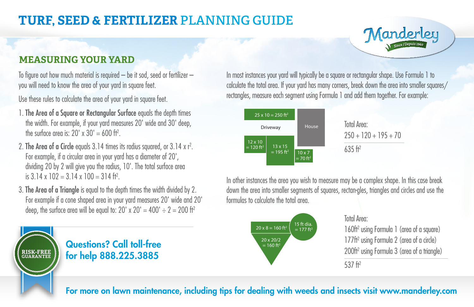## **TURF, SEED & FERTILIZER PLANNING GUIDE**

Manderley

#### **MEASURING YOUR YARD**

To figure out how much material is required  $-$  be it sod, seed or fertilizer  $$ you will need to know the area of your yard in square feet.

Use these rules to calculate the area of your yard in square feet.

- 1. The Area of a Square or Rectangular Surface equals the depth times the width. For example, if your yard measures 20' wide and 30' deep, the surface area is: 20' x 30'  $= 600$  ft<sup>2</sup>.
- 2. The Area of a Circle equals  $3.14$  times its radius squared, or  $3.14 \times r^2$ . For example, if a circular area in your yard has a diameter of 20', dividing 20 by 2 will give you the radius, 10'. The total surface area is 3.14 x 102 = 3.14 x 100 = 314 ft<sup>2</sup>.
- 3. The Area of a Triangle is equal to the depth times the width divided by 2. For example if a cone shaped area in your yard measures 20' wide and 20' deep, the surface area will be equal to:  $20' \times 20' = 400' \div 2 = 200$  ft<sup>2</sup>

Questions? Call toll-free for help **888.225.3885 RISK-FREE GUARANTEE**

In most instances your yard will typically be a square or rectangular shape. Use Formula 1 to calculate the total area. If your yard has many corners, break down the area into smaller squares/ rectangles, measure each segment using Formula 1 and add them together. For example:



In other instances the area you wish to measure may be a complex shape. In this case break  $\overline{\phantom{a}}$ down the area into smaller segments of squares, rectan-gles, triangles and circles and use the formulas to calculate the total area.



#### Total Area:

160ft2 using Formula 1 (area of a square) 177ft2 using Formula 2 (area of a circle) 200ft<sup>2</sup> using Formula 3 (area of a triangle)

537 $ft<sup>2</sup>$ 

For more on lawn maintenance, including tips for dealing with weeds and insects visit www.manderley.com